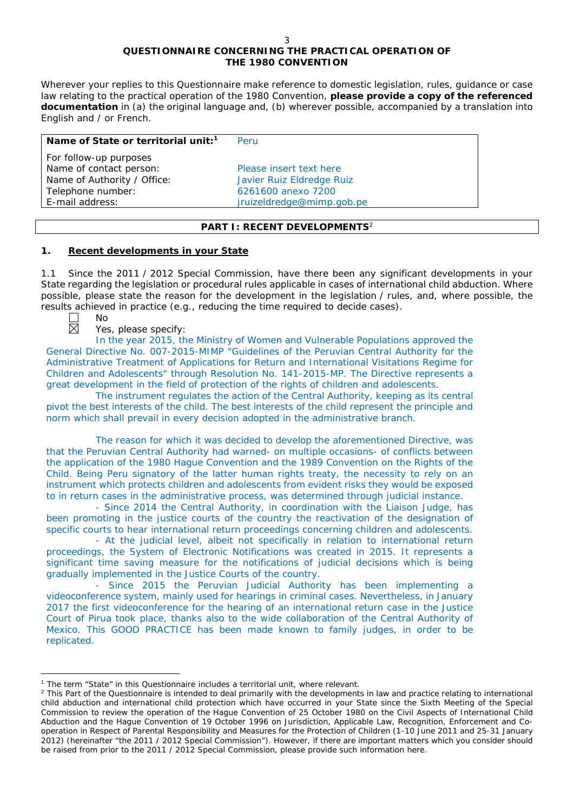# **QUESTIONNAIRE CONCERNING THE PRACTICAL OPERATION OF THE 1980 CONVENTION**

*Wherever your replies to this Questionnaire make reference to domestic legislation, rules, guidance or case*  law relating to the practical operation of the 1980 Convention, please provide a copy of the referenced *documentation in (a) the original language and, (b) wherever possible, accompanied by a translation into English and / or French.* 

| Name of State or territorial unit: <sup>1</sup> | Peru                      |
|-------------------------------------------------|---------------------------|
| For follow-up purposes                          |                           |
| Name of contact person:                         | Please insert text here   |
| Name of Authority / Office:                     | Javier Ruiz Eldredge Ruiz |
| Telephone number:                               | 6261600 anexo 7200        |
| E-mail address:                                 | jruizeldredge@mimp.gob.pe |
|                                                 |                           |

## **PART I: RECENT DEVELOPMENTS**<sup>2</sup>

## **1. Recent developments in your State**

1.1 Since the 2011 / 2012 Special Commission, have there been any significant developments in your State regarding the legislation or procedural rules applicable in cases of international child abduction. Where possible, please state the reason for the development in the legislation / rules, and, where possible, the results achieved in practice (*e.g.*, reducing the time required to decide cases). No



 $\overline{a}$ 

# Yes, please specify:

In the year 2015, the Ministry of Women and Vulnerable Populations approved the General Directive No. 007-2015-MIMP "Guidelines of the Peruvian Central Authority for the Administrative Treatment of Applications for Return and International Visitations Regime for Children and Adolescents" through Resolution No. 141-2015-MP. The Directive represents a great development in the field of protection of the rights of children and adolescents.

The instrument regulates the action of the Central Authority, keeping as its central pivot the best interests of the child. The best interests of the child represent the principle and norm which shall prevail in every decision adopted in the administrative branch.

The reason for which it was decided to develop the aforementioned Directive, was that the Peruvian Central Authority had warned- on multiple occasions- of conflicts between the application of the 1980 Hague Convention and the 1989 Convention on the Rights of the Child. Being Peru signatory of the latter human rights treaty, the necessity to rely on an instrument which protects children and adolescents from evident risks they would be exposed to in return cases in the administrative process, was determined through judicial instance.

- Since 2014 the Central Authority, in coordination with the Liaison Judge, has been promoting in the justice courts of the country the reactivation of the designation of specific courts to hear international return proceedings concerning children and adolescents.

- At the judicial level, albeit not specifically in relation to international return proceedings, the System of Electronic Notifications was created in 2015. It represents a significant time saving measure for the notifications of judicial decisions which is being gradually implemented in the Justice Courts of the country.

- Since 2015 the Peruvian Judicial Authority has been implementing a videoconference system, mainly used for hearings in criminal cases. Nevertheless, in January 2017 the first videoconference for the hearing of an international return case in the Justice Court of Pirua took place, thanks also to the wide collaboration of the Central Authority of Mexico. This GOOD PRACTICE has been made known to family judges, in order to be replicated.

<sup>&</sup>lt;sup>1</sup> The term "State" in this Questionnaire includes a territorial unit, where relevant.

<sup>&</sup>lt;sup>2</sup> This Part of the Questionnaire is intended to deal primarily with the developments in law and practice relating to international child abduction and international child protection which have occurred in your State since the Sixth Meeting of the Special Commission to review the operation of the *Hague Convention of 25 October 1980 on the Civil Aspects of International Child Abduction* and the *Hague Convention of 19 October 1996 on Jurisdiction, Applicable Law, Recognition, Enforcement and Cooperation in Respect of Parental Responsibility and Measures for the Protection of Children* (1-10 June 2011 and 25-31 January 2012) (hereinafter "the 2011 / 2012 Special Commission"). However, if there are important matters which you consider should be raised from *prior to* the 2011 / 2012 Special Commission, please provide such information here.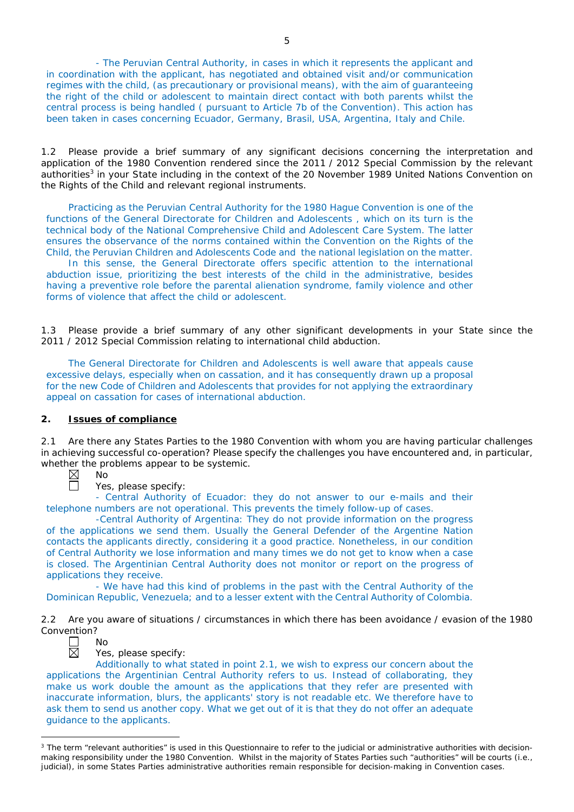- The Peruvian Central Authority, in cases in which it represents the applicant and in coordination with the applicant, has negotiated and obtained visit and/or communication regimes with the child, (as precautionary or provisional means), with the aim of guaranteeing the right of the child or adolescent to maintain direct contact with both parents whilst the central process is being handled ( pursuant to Article 7b of the Convention). This action has been taken in cases concerning Ecuador, Germany, Brasil, USA, Argentina, Italy and Chile.

1.2 Please provide a brief summary of any significant decisions concerning the interpretation and application of the 1980 Convention rendered since the 2011 / 2012 Special Commission by the relevant authorities<sup>3</sup> in your State including in the context of the 20 November 1989 United Nations Convention on the Rights of the Child and relevant regional instruments.

Practicing as the Peruvian Central Authority for the 1980 Hague Convention is one of the functions of the General Directorate for Children and Adolescents , which on its turn is the technical body of the National Comprehensive Child and Adolescent Care System. The latter ensures the observance of the norms contained within the Convention on the Rights of the Child, the Peruvian Children and Adolescents Code and the national legislation on the matter.

In this sense, the General Directorate offers specific attention to the international abduction issue, prioritizing the best interests of the child in the administrative, besides having a preventive role before the parental alienation syndrome, family violence and other forms of violence that affect the child or adolescent.

1.3 Please provide a brief summary of any other significant developments in your State since the 2011 / 2012 Special Commission relating to international child abduction.

The General Directorate for Children and Adolescents is well aware that appeals cause excessive delays, especially when on cassation, and it has consequently drawn up a proposal for the new Code of Children and Adolescents that provides for not applying the extraordinary appeal on cassation for cases of international abduction.

### **2. Issues of compliance**

No

2.1 Are there any States Parties to the 1980 Convention with whom you are having particular challenges in achieving successful co-operation? Please specify the challenges you have encountered and, in particular, whether the problems appear to be systemic.



Yes, please specify:

- Central Authority of Ecuador: they do not answer to our e-mails and their telephone numbers are not operational. This prevents the timely follow-up of cases.

-Central Authority of Argentina: They do not provide information on the progress of the applications we send them. Usually the General Defender of the Argentine Nation contacts the applicants directly, considering it a good practice. Nonetheless, in our condition of Central Authority we lose information and many times we do not get to know when a case is closed. The Argentinian Central Authority does not monitor or report on the progress of applications they receive.

- We have had this kind of problems in the past with the Central Authority of the Dominican Republic, Venezuela; and to a lesser extent with the Central Authority of Colombia.

2.2 Are you aware of situations / circumstances in which there has been avoidance / evasion of the 1980 Convention?



 $\overline{a}$ 

Yes, please specify:

Additionally to what stated in point 2.1, we wish to express our concern about the applications the Argentinian Central Authority refers to us. Instead of collaborating, they make us work double the amount as the applications that they refer are presented with inaccurate information, blurs, the applicants' story is not readable etc. We therefore have to ask them to send us another copy. What we get out of it is that they do not offer an adequate guidance to the applicants.

<sup>&</sup>lt;sup>3</sup> The term "relevant authorities" is used in this Questionnaire to refer to the judicial or administrative authorities with decisionmaking responsibility under the 1980 Convention. Whilst in the majority of States Parties such "authorities" will be courts (*i.e.*, judicial), in some States Parties administrative authorities remain responsible for decision-making in Convention cases.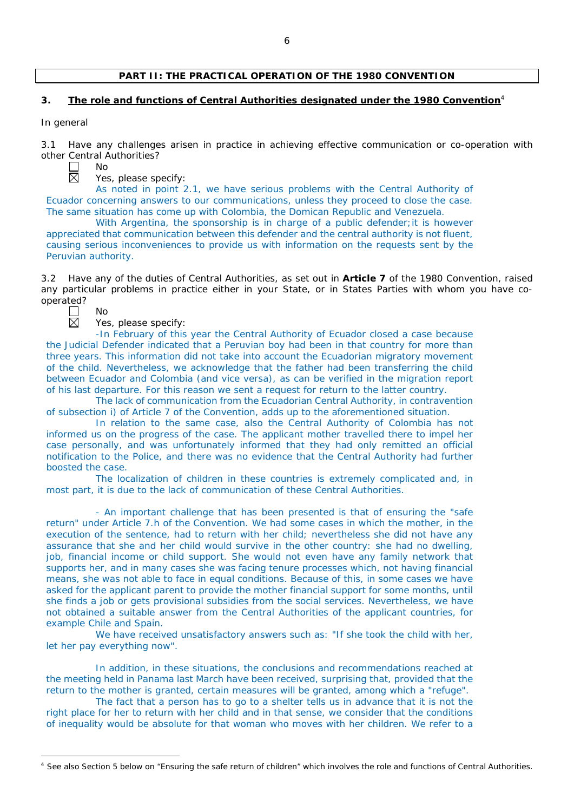### **PART II: THE PRACTICAL OPERATION OF THE 1980 CONVENTION**

## **3. The role and functions of Central Authorities designated under the 1980 Convention**<sup>4</sup>

## *In general*

3.1 Have any challenges arisen in practice in achieving effective communication or co-operation with other Central Authorities?



 $N<sub>0</sub>$ 

Yes, please specify:

As noted in point 2.1, we have serious problems with the Central Authority of Ecuador concerning answers to our communications, unless they proceed to close the case. The same situation has come up with Colombia, the Domican Republic and Venezuela.

With Argentina, the sponsorship is in charge of a public defender; it is however appreciated that communication between this defender and the central authority is not fluent, causing serious inconveniences to provide us with information on the requests sent by the Peruvian authority.

3.2 Have any of the duties of Central Authorities, as set out in **Article 7** of the 1980 Convention, raised any particular problems in practice either in your State, or in States Parties with whom you have cooperated?<br>□



 $\overline{a}$ 

No

Yes, please specify:

-In February of this year the Central Authority of Ecuador closed a case because the Judicial Defender indicated that a Peruvian boy had been in that country for more than three years. This information did not take into account the Ecuadorian migratory movement of the child. Nevertheless, we acknowledge that the father had been transferring the child between Ecuador and Colombia (and vice versa), as can be verified in the migration report of his last departure. For this reason we sent a request for return to the latter country.

The lack of communication from the Ecuadorian Central Authority, in contravention of subsection i) of Article 7 of the Convention, adds up to the aforementioned situation.

In relation to the same case, also the Central Authority of Colombia has not informed us on the progress of the case. The applicant mother travelled there to impel her case personally, and was unfortunately informed that they had only remitted an official notification to the Police, and there was no evidence that the Central Authority had further boosted the case.

The localization of children in these countries is extremely complicated and, in most part, it is due to the lack of communication of these Central Authorities.

- An important challenge that has been presented is that of ensuring the "safe return" under Article 7.h of the Convention. We had some cases in which the mother, in the execution of the sentence, had to return with her child; nevertheless she did not have any assurance that she and her child would survive in the other country: she had no dwelling, job, financial income or child support. She would not even have any family network that supports her, and in many cases she was facing tenure processes which, not having financial means, she was not able to face in equal conditions. Because of this, in some cases we have asked for the applicant parent to provide the mother financial support for some months, until she finds a job or gets provisional subsidies from the social services. Nevertheless, we have not obtained a suitable answer from the Central Authorities of the applicant countries, for example Chile and Spain.

We have received unsatisfactory answers such as: "If she took the child with her, let her pay everything now".

In addition, in these situations, the conclusions and recommendations reached at the meeting held in Panama last March have been received, surprising that, provided that the return to the mother is granted, certain measures will be granted, among which a "refuge".

The fact that a person has to go to a shelter tells us in advance that it is not the right place for her to return with her child and in that sense, we consider that the conditions of inequality would be absolute for that woman who moves with her children. We refer to a

<sup>&</sup>lt;sup>4</sup> See also Section 5 below on "Ensuring the safe return of children" which involves the role and functions of Central Authorities.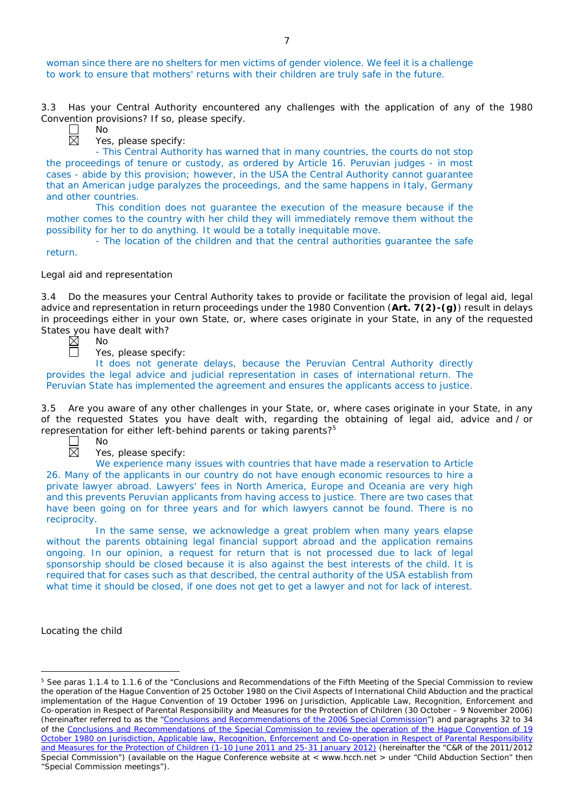woman since there are no shelters for men victims of gender violence. We feel it is a challenge to work to ensure that mothers' returns with their children are truly safe in the future.

3.3 Has your Central Authority encountered any challenges with the application of any of the 1980 Convention provisions? If so, please specify.

岗

No

Yes, please specify:

- This Central Authority has warned that in many countries, the courts do not stop the proceedings of tenure or custody, as ordered by Article 16. Peruvian judges - in most cases - abide by this provision; however, in the USA the Central Authority cannot guarantee that an American judge paralyzes the proceedings, and the same happens in Italy, Germany and other countries.

This condition does not guarantee the execution of the measure because if the mother comes to the country with her child they will immediately remove them without the possibility for her to do anything. It would be a totally inequitable move.

- The location of the children and that the central authorities guarantee the safe return.

## *Legal aid and representation*

3.4 Do the measures your Central Authority takes to provide or facilitate the provision of legal aid, legal advice and representation in return proceedings under the 1980 Convention (**Art. 7(2)-(g)**) result in delays in proceedings either in your own State, or, where cases originate in your State, in any of the requested States you have dealt with?<br> $\boxtimes$  No<br> $\Box$  Yes. please spec



Yes, please specify:

It does not generate delays, because the Peruvian Central Authority directly provides the legal advice and judicial representation in cases of international return. The Peruvian State has implemented the agreement and ensures the applicants access to justice.

3.5 Are you aware of any other challenges in your State, or, where cases originate in your State, in any of the requested States you have dealt with, regarding the obtaining of legal aid, advice and / or representation for either left-behind parents or taking parents?5



No

Yes, please specify:

We experience many issues with countries that have made a reservation to Article 26. Many of the applicants in our country do not have enough economic resources to hire a private lawyer abroad. Lawyers' fees in North America, Europe and Oceania are very high and this prevents Peruvian applicants from having access to justice. There are two cases that have been going on for three years and for which lawyers cannot be found. There is no reciprocity.

In the same sense, we acknowledge a great problem when many years elapse without the parents obtaining legal financial support abroad and the application remains ongoing. In our opinion, a request for return that is not processed due to lack of legal sponsorship should be closed because it is also against the best interests of the child. It is required that for cases such as that described, the central authority of the USA establish from what time it should be closed, if one does not get to get a lawyer and not for lack of interest.

*Locating the child*

 $\overline{a}$ 

<sup>&</sup>lt;sup>5</sup> See paras 1.1.4 to 1.1.6 of the "Conclusions and Recommendations of the Fifth Meeting of the Special Commission to review the operation of the *Hague Convention of 25 October 1980 on the Civil Aspects of International Child Abduction* and the practical implementation of the *Hague Convention of 19 October 1996 on Jurisdiction, Applicable Law, Recognition, Enforcement and Co-operation in Respect of Parental Responsibility and Measures for the Protection of Children* (30 October – 9 November 2006) (hereinafter referred to as the ["Conclusions and Recommendations of the 2006 Special Commission"](https://assets.hcch.net/upload/concl28sc5_e.pdf)) and paragraphs 32 to 34 of the [Conclusions and Recommendations of the Special Commission](https://assets.hcch.net/upload/wop/concl28sc6_e.pdf) to review the operation of the Hague Convention of *19 [October 1980 on Jurisdiction, Applicable law, Recognition, Enforcement and Co-operation in Respect of Parental Responsibility](https://assets.hcch.net/upload/wop/concl28sc6_e.pdf)  [and Measures for the Protection of Children](https://assets.hcch.net/upload/wop/concl28sc6_e.pdf)* (1-10 June 2011 and 25-31 January 2012) (hereinafter the "C&R of the 2011/2012 Special Commission") (available on the Haque Conference website at < www.hcch.net > under "Child Abduction Section" then "Special Commission meetings").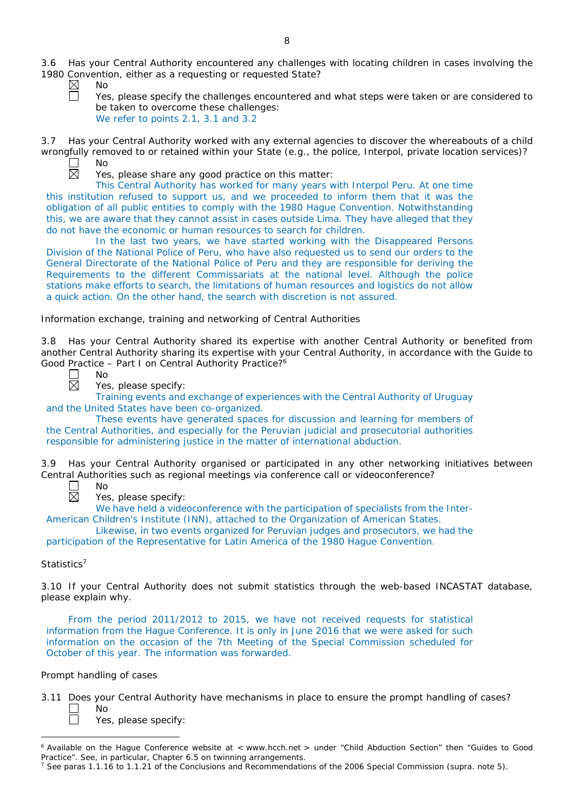$\Box$ 

 $\boxtimes$ 

No

Yes, please specify the challenges encountered and what steps were taken or are considered to be taken to overcome these challenges: We refer to points 2.1, 3.1 and 3.2

3.7 Has your Central Authority worked with any external agencies to discover the whereabouts of a child wrongfully removed to or retained within your State (*e.g.*, the police, Interpol, private location services)?  $\Box$ No

Yes, please share any good practice on this matter:

This Central Authority has worked for many years with Interpol Peru. At one time this institution refused to support us, and we proceeded to inform them that it was the obligation of all public entities to comply with the 1980 Hague Convention. Notwithstanding this, we are aware that they cannot assist in cases outside Lima. They have alleged that they do not have the economic or human resources to search for children.

In the last two years, we have started working with the Disappeared Persons Division of the National Police of Peru, who have also requested us to send our orders to the General Directorate of the National Police of Peru and they are responsible for deriving the Requirements to the different Commissariats at the national level. Although the police stations make efforts to search, the limitations of human resources and logistics do not allow a quick action. On the other hand, the search with discretion is not assured.

*Information exchange, training and networking of Central Authorities*

3.8 Has your Central Authority shared its expertise with another Central Authority or benefited from another Central Authority sharing its expertise with your Central Authority, in accordance with the Guide to Good Practice – Part I on Central Authority Practice?6

 $\Box$  $\overline{\boxtimes}$ 

No

No

Yes, please specify:

Training events and exchange of experiences with the Central Authority of Uruguay and the United States have been co-organized.

These events have generated spaces for discussion and learning for members of the Central Authorities, and especially for the Peruvian judicial and prosecutorial authorities responsible for administering justice in the matter of international abduction.

3.9 Has your Central Authority organised or participated in any other networking initiatives between Central Authorities such as regional meetings via conference call or videoconference?



Yes, please specify:

We have held a videoconference with the participation of specialists from the Inter-American Children's Institute (INN), attached to the Organization of American States.

Likewise, in two events organized for Peruvian judges and prosecutors, we had the

participation of the Representative for Latin America of the 1980 Hague Convention.

# *Statistics*<sup>7</sup>

 $\overline{a}$ 

3.10 If your Central Authority does not submit statistics through the web-based INCASTAT database, please explain why.

From the period 2011/2012 to 2015, we have not received requests for statistical information from the Hague Conference. It is only in June 2016 that we were asked for such information on the occasion of the 7th Meeting of the Special Commission scheduled for October of this year. The information was forwarded.

## *Prompt handling of cases*

3.11 Does your Central Authority have mechanisms in place to ensure the prompt handling of cases? No

Yes, please specify:

<sup>6</sup> Available on the Hague Conference website at < www.hcch.net > under "Child Abduction Section" then "Guides to Good Practice". See, in particular, Chapter 6.5 on twinning arrangements.

<sup>7</sup> See paras 1.1.16 to 1.1.21 of the Conclusions and Recommendations of the 2006 Special Commission (*supra.* note 5).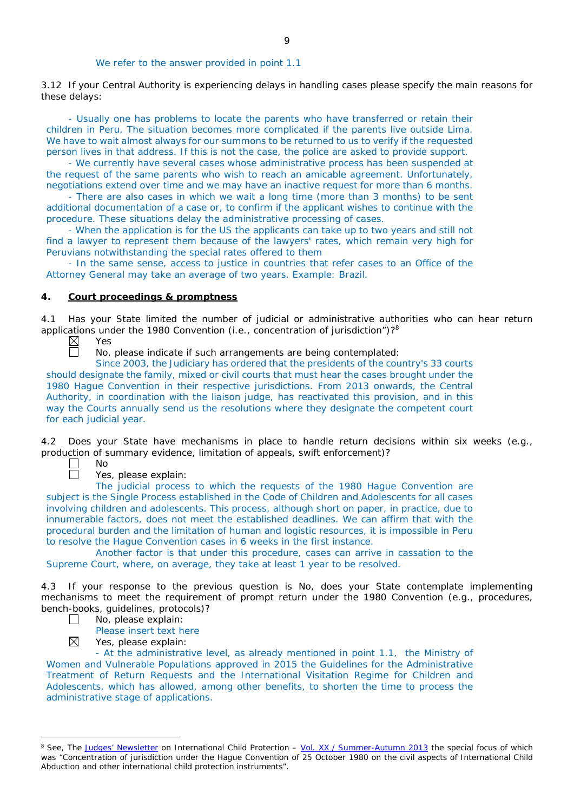#### We refer to the answer provided in point 1.1

3.12 If your Central Authority is experiencing delays in handling cases please specify the main reasons for these delays:

- Usually one has problems to locate the parents who have transferred or retain their children in Peru. The situation becomes more complicated if the parents live outside Lima. We have to wait almost always for our summons to be returned to us to verify if the requested person lives in that address. If this is not the case, the police are asked to provide support.

- We currently have several cases whose administrative process has been suspended at the request of the same parents who wish to reach an amicable agreement. Unfortunately, negotiations extend over time and we may have an inactive request for more than 6 months.

- There are also cases in which we wait a long time (more than 3 months) to be sent additional documentation of a case or, to confirm if the applicant wishes to continue with the procedure. These situations delay the administrative processing of cases.

- When the application is for the US the applicants can take up to two years and still not find a lawyer to represent them because of the lawyers' rates, which remain very high for Peruvians notwithstanding the special rates offered to them

- In the same sense, access to justice in countries that refer cases to an Office of the Attorney General may take an average of two years. Example: Brazil.

#### **4. Court proceedings & promptness**

4.1 Has your State limited the number of judicial or administrative authorities who can hear return applications under the 1980 Convention (*i.e.*, concentration of jurisdiction")?<sup>8</sup><br>  $\boxtimes$  Yes<br>  $\Box$  No, please indicate if such arrangements are being contemplated:

Yes

No, please indicate if such arrangements are being contemplated:

Since 2003, the Judiciary has ordered that the presidents of the country's 33 courts should designate the family, mixed or civil courts that must hear the cases brought under the 1980 Hague Convention in their respective jurisdictions. From 2013 onwards, the Central Authority, in coordination with the liaison judge, has reactivated this provision, and in this way the Courts annually send us the resolutions where they designate the competent court for each judicial year.

4.2 Does your State have mechanisms in place to handle return decisions within six weeks (*e.g.*, production of summary evidence, limitation of appeals, swift enforcement)?

 $\overline{a}$ 

No

Yes, please explain:

The judicial process to which the requests of the 1980 Hague Convention are subject is the Single Process established in the Code of Children and Adolescents for all cases involving children and adolescents. This process, although short on paper, in practice, due to innumerable factors, does not meet the established deadlines. We can affirm that with the procedural burden and the limitation of human and logistic resources, it is impossible in Peru to resolve the Hague Convention cases in 6 weeks in the first instance.

Another factor is that under this procedure, cases can arrive in cassation to the Supreme Court, where, on average, they take at least 1 year to be resolved.

4.3 If your response to the previous question is No, does your State contemplate implementing mechanisms to meet the requirement of prompt return under the 1980 Convention (*e.g.*, procedures, bench-books, guidelines, protocols)?

 $\perp$ No, please explain:

Please insert text here

⊠ Yes, please explain:

- At the administrative level, as already mentioned in point 1.1, the Ministry of Women and Vulnerable Populations approved in 2015 the Guidelines for the Administrative Treatment of Return Requests and the International Visitation Regime for Children and Adolescents, which has allowed, among other benefits, to shorten the time to process the administrative stage of applications.

<sup>&</sup>lt;sup>8</sup> See, *The [Judges' Newsletter](https://www.hcch.net/en/instruments/conventions/publications2/judges-newsletter)* on International Child Protection – Vol. XX / [Summer-Autumn 2013](https://assets.hcch.net/upload/newsletter/nl2013tome20en.pdf) the special focus of which was "Concentration of jurisdiction under the *Hague Convention of 25 October 1980 on the civil aspects of International Child Abduction* and other international child protection instruments".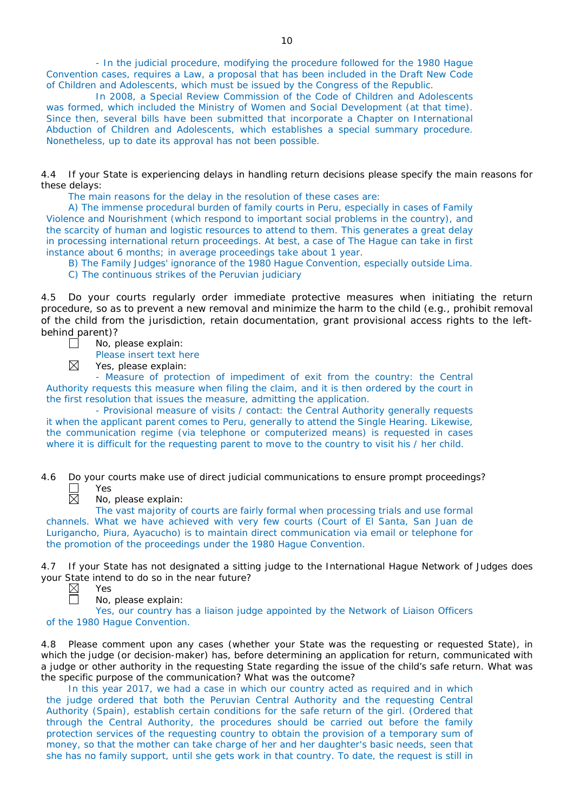- In the judicial procedure, modifying the procedure followed for the 1980 Hague Convention cases, requires a Law, a proposal that has been included in the Draft New Code of Children and Adolescents, which must be issued by the Congress of the Republic.

In 2008, a Special Review Commission of the Code of Children and Adolescents was formed, which included the Ministry of Women and Social Development (at that time). Since then, several bills have been submitted that incorporate a Chapter on International Abduction of Children and Adolescents, which establishes a special summary procedure. Nonetheless, up to date its approval has not been possible.

4.4 If your State is experiencing delays in handling return decisions please specify the main reasons for these delays:

The main reasons for the delay in the resolution of these cases are:

A) The immense procedural burden of family courts in Peru, especially in cases of Family Violence and Nourishment (which respond to important social problems in the country), and the scarcity of human and logistic resources to attend to them. This generates a great delay in processing international return proceedings. At best, a case of The Hague can take in first instance about 6 months; in average proceedings take about 1 year.

B) The Family Judges' ignorance of the 1980 Hague Convention, especially outside Lima.

C) The continuous strikes of the Peruvian judiciary

4.5 Do your courts regularly order immediate protective measures when initiating the return procedure, so as to prevent a new removal and minimize the harm to the child (*e.g.*, prohibit removal of the child from the jurisdiction, retain documentation, grant provisional access rights to the leftbehind parent)?

No, please explain:

 $\Box$ 

⊠

Please insert text here

Yes, please explain:

- Measure of protection of impediment of exit from the country: the Central Authority requests this measure when filing the claim, and it is then ordered by the court in the first resolution that issues the measure, admitting the application.

- Provisional measure of visits / contact: the Central Authority generally requests it when the applicant parent comes to Peru, generally to attend the Single Hearing. Likewise, the communication regime (via telephone or computerized means) is requested in cases where it is difficult for the requesting parent to move to the country to visit his / her child.

4.6 Do your courts make use of direct judicial communications to ensure prompt proceedings?  $\Box$ Yes  $\boxtimes$ 

No, please explain:

The vast majority of courts are fairly formal when processing trials and use formal channels. What we have achieved with very few courts (Court of El Santa, San Juan de Lurigancho, Piura, Ayacucho) is to maintain direct communication via email or telephone for the promotion of the proceedings under the 1980 Hague Convention.

4.7 If your State has not designated a sitting judge to the International Hague Network of Judges does your State intend to do so in the near future? Yes

No, please explain:

Yes, our country has a liaison judge appointed by the Network of Liaison Officers of the 1980 Hague Convention.

4.8 Please comment upon any cases (whether your State was the requesting or requested State), in which the judge (or decision-maker) has, before determining an application for return, communicated with a judge or other authority in the requesting State regarding the issue of the child's safe return. What was the specific purpose of the communication? What was the outcome?

In this year 2017, we had a case in which our country acted as required and in which the judge ordered that both the Peruvian Central Authority and the requesting Central Authority (Spain), establish certain conditions for the safe return of the girl. (Ordered that through the Central Authority, the procedures should be carried out before the family protection services of the requesting country to obtain the provision of a temporary sum of money, so that the mother can take charge of her and her daughter's basic needs, seen that she has no family support, until she gets work in that country. To date, the request is still in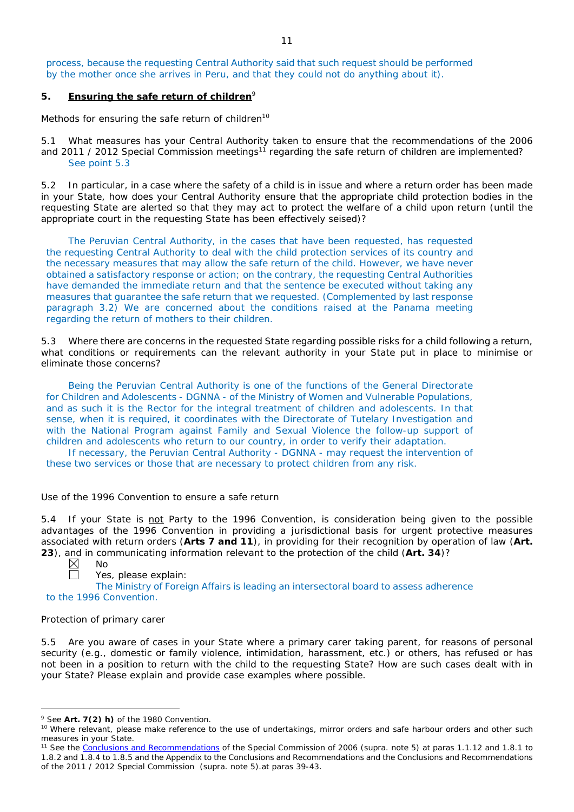process, because the requesting Central Authority said that such request should be performed by the mother once she arrives in Peru, and that they could not do anything about it).

### **5. Ensuring the safe return of children**<sup>9</sup>

*Methods for ensuring the safe return of children*<sup>10</sup>

5.1 What measures has your Central Authority taken to ensure that the recommendations of the 2006 and 2011 / 2012 Special Commission meetings<sup>11</sup> regarding the safe return of children are implemented? See point 5.3

5.2 In particular, in a case where the safety of a child is in issue and where a return order has been made in your State, how does your Central Authority ensure that the appropriate child protection bodies in the *requesting* State are alerted so that they may act to protect the welfare of a child upon return (until the appropriate court in the requesting State has been effectively seised)?

The Peruvian Central Authority, in the cases that have been requested, has requested the requesting Central Authority to deal with the child protection services of its country and the necessary measures that may allow the safe return of the child. However, we have never obtained a satisfactory response or action; on the contrary, the requesting Central Authorities have demanded the immediate return and that the sentence be executed without taking any measures that guarantee the safe return that we requested. (Complemented by last response paragraph 3.2) We are concerned about the conditions raised at the Panama meeting regarding the return of mothers to their children.

5.3 Where there are concerns in the requested State regarding possible risks for a child following a return, what conditions or requirements can the relevant authority in your State put in place to minimise or eliminate those concerns?

Being the Peruvian Central Authority is one of the functions of the General Directorate for Children and Adolescents - DGNNA - of the Ministry of Women and Vulnerable Populations, and as such it is the Rector for the integral treatment of children and adolescents. In that sense, when it is required, it coordinates with the Directorate of Tutelary Investigation and with the National Program against Family and Sexual Violence the follow-up support of children and adolescents who return to our country, in order to verify their adaptation.

If necessary, the Peruvian Central Authority - DGNNA - may request the intervention of these two services or those that are necessary to protect children from any risk.

#### *Use of the 1996 Convention to ensure a safe return*

5.4 If your State is not Party to the 1996 Convention, is consideration being given to the possible advantages of the 1996 Convention in providing a jurisdictional basis for urgent protective measures associated with return orders (**Arts 7 and 11**), in providing for their recognition by operation of law (**Art. 23**), and in communicating information relevant to the protection of the child (Art. 34)?<br>
No

 $\Box$ 

 $\overline{a}$ 

Yes, please explain:

The Ministry of Foreign Affairs is leading an intersectoral board to assess adherence to the 1996 Convention.

# *Protection of primary carer*

No

5.5 Are you aware of cases in your State where a primary carer taking parent, for reasons of personal security (*e.g.*, domestic or family violence, intimidation, harassment, etc.) or others, has refused or has not been in a position to return with the child to the requesting State? How are such cases dealt with in your State? Please explain and provide case examples where possible.

<sup>9</sup> See **Art. 7(2)** *h)* of the 1980 Convention.

<sup>&</sup>lt;sup>10</sup> Where relevant, please make reference to the use of undertakings, mirror orders and safe harbour orders and other such measures in your State.

<sup>11</sup> See the [Conclusions and Recommendations](https://assets.hcch.net/upload/concl28sc5_e.pdf) of the Special Commission of 2006 (*supra.* note 5) at paras 1.1.12 and 1.8.1 to 1.8.2 and 1.8.4 to 1.8.5 and the Appendix to the Conclusions and Recommendations and the [Conclusions and Recommendations](https://assets.hcch.net/upload/wop/concl28sc6_e.pdf)  of the 2011 / [2012 Special Commission](https://assets.hcch.net/upload/wop/concl28sc6_e.pdf) (*supra.* note 5).at paras 39-43.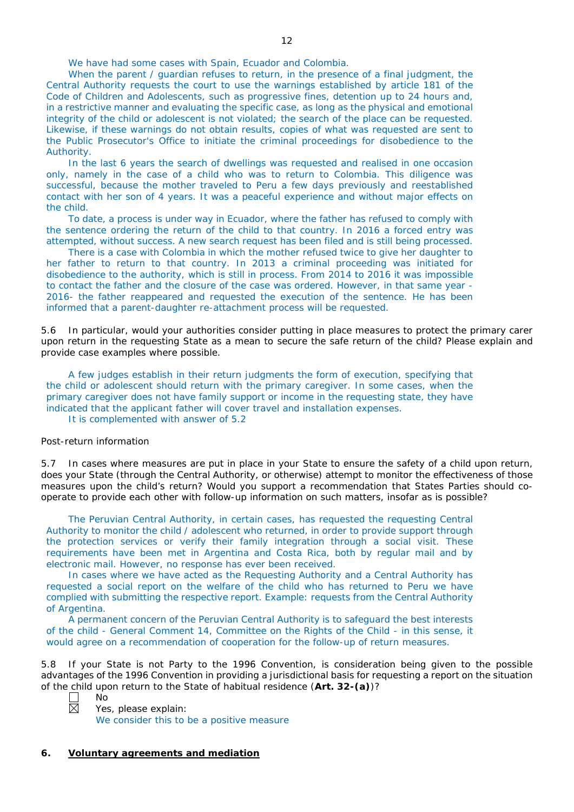We have had some cases with Spain, Ecuador and Colombia.

When the parent / guardian refuses to return, in the presence of a final judgment, the Central Authority requests the court to use the warnings established by article 181 of the Code of Children and Adolescents, such as progressive fines, detention up to 24 hours and, in a restrictive manner and evaluating the specific case, as long as the physical and emotional integrity of the child or adolescent is not violated; the search of the place can be requested. Likewise, if these warnings do not obtain results, copies of what was requested are sent to the Public Prosecutor's Office to initiate the criminal proceedings for disobedience to the Authority.

In the last 6 years the search of dwellings was requested and realised in one occasion only, namely in the case of a child who was to return to Colombia. This diligence was successful, because the mother traveled to Peru a few days previously and reestablished contact with her son of 4 years. It was a peaceful experience and without major effects on the child.

To date, a process is under way in Ecuador, where the father has refused to comply with the sentence ordering the return of the child to that country. In 2016 a forced entry was attempted, without success. A new search request has been filed and is still being processed.

There is a case with Colombia in which the mother refused twice to give her daughter to her father to return to that country. In 2013 a criminal proceeding was initiated for disobedience to the authority, which is still in process. From 2014 to 2016 it was impossible to contact the father and the closure of the case was ordered. However, in that same year - 2016- the father reappeared and requested the execution of the sentence. He has been informed that a parent-daughter re-attachment process will be requested.

5.6 In particular, would your authorities consider putting in place measures to protect the primary carer upon return in the requesting State as a mean to secure the safe return of the child? Please explain and provide case examples where possible.

A few judges establish in their return judgments the form of execution, specifying that the child or adolescent should return with the primary caregiver. In some cases, when the primary caregiver does not have family support or income in the requesting state, they have indicated that the applicant father will cover travel and installation expenses. It is complemented with answer of 5.2

### *Post-return information*

5.7 In cases where measures are put in place in your State to ensure the safety of a child upon return, does your State (through the Central Authority, or otherwise) attempt to monitor the effectiveness of those measures upon the child's return? Would you support a recommendation that States Parties should cooperate to provide each other with follow-up information on such matters, insofar as is possible?

The Peruvian Central Authority, in certain cases, has requested the requesting Central Authority to monitor the child / adolescent who returned, in order to provide support through the protection services or verify their family integration through a social visit. These requirements have been met in Argentina and Costa Rica, both by regular mail and by electronic mail. However, no response has ever been received.

In cases where we have acted as the Requesting Authority and a Central Authority has requested a social report on the welfare of the child who has returned to Peru we have complied with submitting the respective report. Example: requests from the Central Authority of Argentina.

A permanent concern of the Peruvian Central Authority is to safeguard the best interests of the child - General Comment 14, Committee on the Rights of the Child - in this sense, it would agree on a recommendation of cooperation for the follow-up of return measures.

5.8 If your State is not Party to the 1996 Convention, is consideration being given to the possible advantages of the 1996 Convention in providing a jurisdictional basis for requesting a report on the situation of the child upon return to the State of habitual residence (**Art. 32-(a)**)?

岗

No

Yes, please explain:

We consider this to be a positive measure

#### **6. Voluntary agreements and mediation**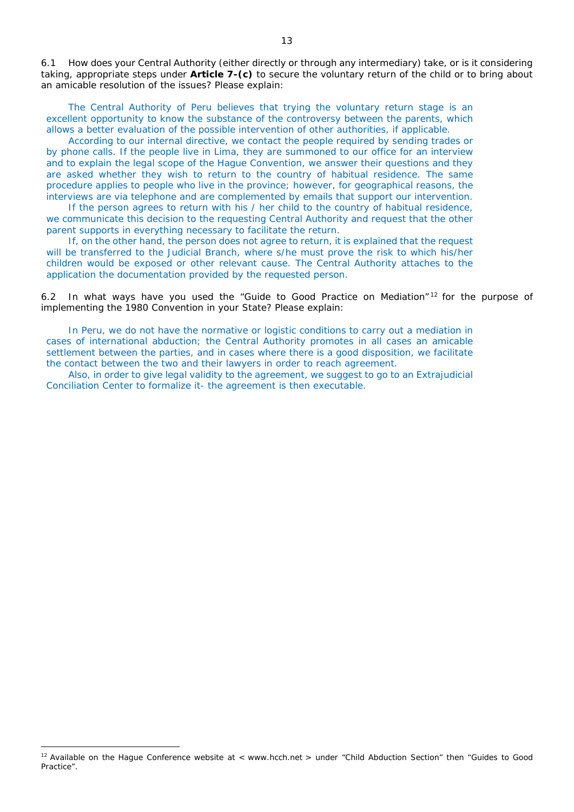6.1 How does your Central Authority (either directly or through any intermediary) take, or is it considering taking, appropriate steps under **Article 7-(c)** to secure the voluntary return of the child or to bring about an amicable resolution of the issues? Please explain:

The Central Authority of Peru believes that trying the voluntary return stage is an excellent opportunity to know the substance of the controversy between the parents, which allows a better evaluation of the possible intervention of other authorities, if applicable.

According to our internal directive, we contact the people required by sending trades or by phone calls. If the people live in Lima, they are summoned to our office for an interview and to explain the legal scope of the Hague Convention, we answer their questions and they are asked whether they wish to return to the country of habitual residence. The same procedure applies to people who live in the province; however, for geographical reasons, the interviews are via telephone and are complemented by emails that support our intervention.

If the person agrees to return with his / her child to the country of habitual residence, we communicate this decision to the requesting Central Authority and request that the other parent supports in everything necessary to facilitate the return.

If, on the other hand, the person does not agree to return, it is explained that the request will be transferred to the Judicial Branch, where s/he must prove the risk to which his/her children would be exposed or other relevant cause. The Central Authority attaches to the application the documentation provided by the requested person.

6.2 In what ways have you used the "Guide to Good Practice on Mediation" <sup>12</sup> for the purpose of implementing the 1980 Convention in your State? Please explain:

In Peru, we do not have the normative or logistic conditions to carry out a mediation in cases of international abduction; the Central Authority promotes in all cases an amicable settlement between the parties, and in cases where there is a good disposition, we facilitate the contact between the two and their lawyers in order to reach agreement.

Also, in order to give legal validity to the agreement, we suggest to go to an Extrajudicial Conciliation Center to formalize it- the agreement is then executable.

 $\overline{a}$ 

<sup>&</sup>lt;sup>12</sup> Available on the Hague Conference website at < www.hcch.net > under "Child Abduction Section" then "Guides to Good Practice".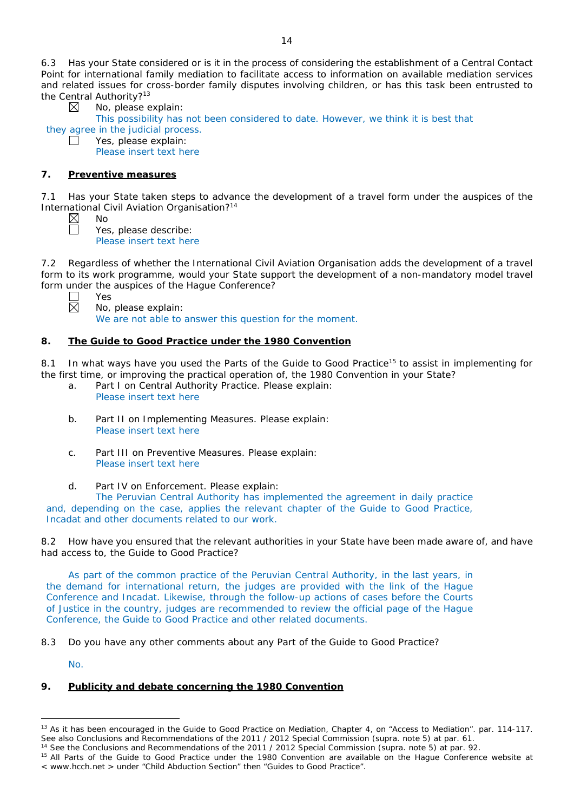6.3 Has your State considered or is it in the process of considering the establishment of a Central Contact Point for international family mediation to facilitate access to information on available mediation services and related issues for cross-border family disputes involving children, or has this task been entrusted to the Central Authority?<sup>13</sup>

| No, please explain: |  |
|---------------------|--|

This possibility has not been considered to date. However, we think it is best that

they agree in the judicial process. Yes, please explain:

⊠

Please insert text here

# **7. Preventive measures**

No

Yes

7.1 Has your State taken steps to advance the development of a travel form under the auspices of the International Civil Aviation Organisation?14

Yes, please describe: Please insert text here

7.2 Regardless of whether the International Civil Aviation Organisation adds the development of a travel form to its work programme, would your State support the development of a non-mandatory model travel form under the auspices of the Hague Conference?

No, please explain:

We are not able to answer this question for the moment.

# **8. The Guide to Good Practice under the 1980 Convention**

8.1 In what ways have you used the Parts of the Guide to Good Practice<sup>15</sup> to assist in implementing for the first time, or improving the practical operation of, the 1980 Convention in your State?

- a. Part I on Central Authority Practice. Please explain: Please insert text here
- b. Part II on Implementing Measures. Please explain: Please insert text here
- c. Part III on Preventive Measures. Please explain: Please insert text here
- d. Part IV on Enforcement. Please explain:

The Peruvian Central Authority has implemented the agreement in daily practice and, depending on the case, applies the relevant chapter of the Guide to Good Practice, Incadat and other documents related to our work.

8.2 How have you ensured that the relevant authorities in your State have been made aware of, and have had access to, the Guide to Good Practice?

As part of the common practice of the Peruvian Central Authority, in the last years, in the demand for international return, the judges are provided with the link of the Hague Conference and Incadat. Likewise, through the follow-up actions of cases before the Courts of Justice in the country, judges are recommended to review the official page of the Hague Conference, the Guide to Good Practice and other related documents.

8.3 Do you have any other comments about any Part of the Guide to Good Practice?

No.

# **9. Publicity and debate concerning the 1980 Convention**

 $\overline{a}$ <sup>13</sup> As it has been encouraged in the Guide to Good Practice on Mediation, Chapter 4, on "Access to Mediation". par. 114-117. See also [Conclusions and Recommendations of the 2011](https://assets.hcch.net/upload/wop/concl28sc6_e.pdf) / 2012 Special Commission (*supra.* note 5) at par. 61.

<sup>14</sup> See the [Conclusions and Recommendations of the 2011](https://assets.hcch.net/upload/wop/concl28sc6_e.pdf) / 2012 Special Commission (*supra.* note 5) at par. 92.

<sup>&</sup>lt;sup>15</sup> All Parts of the Guide to Good Practice under the 1980 Convention are available on the Hague Conference website at < www.hcch.net > under "Child Abduction Section" then "Guides to Good Practice".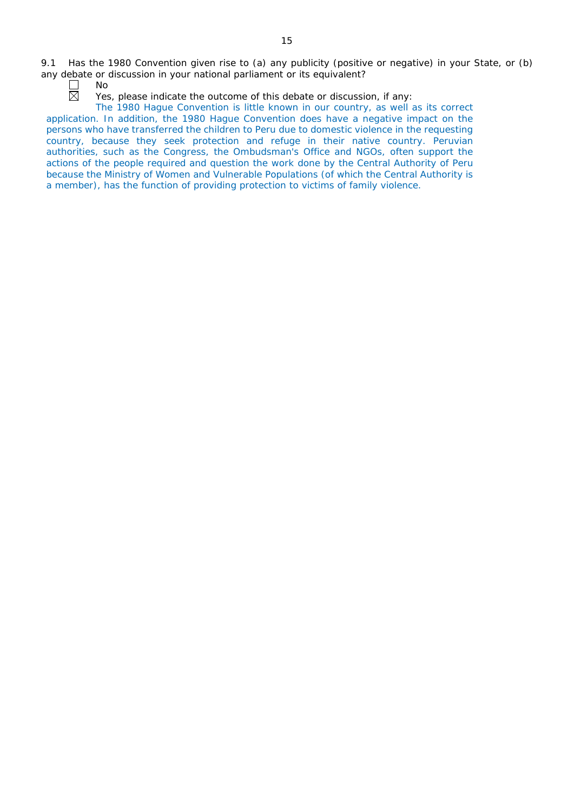9.1 Has the 1980 Convention given rise to (a) any publicity (positive or negative) in your State, or (b) any debate or discussion in your national parliament or its equivalent?<br> $\Box$  No

No 闵

Yes, please indicate the outcome of this debate or discussion, if any:

The 1980 Hague Convention is little known in our country, as well as its correct application. In addition, the 1980 Hague Convention does have a negative impact on the persons who have transferred the children to Peru due to domestic violence in the requesting country, because they seek protection and refuge in their native country. Peruvian authorities, such as the Congress, the Ombudsman's Office and NGOs, often support the actions of the people required and question the work done by the Central Authority of Peru because the Ministry of Women and Vulnerable Populations (of which the Central Authority is a member), has the function of providing protection to victims of family violence.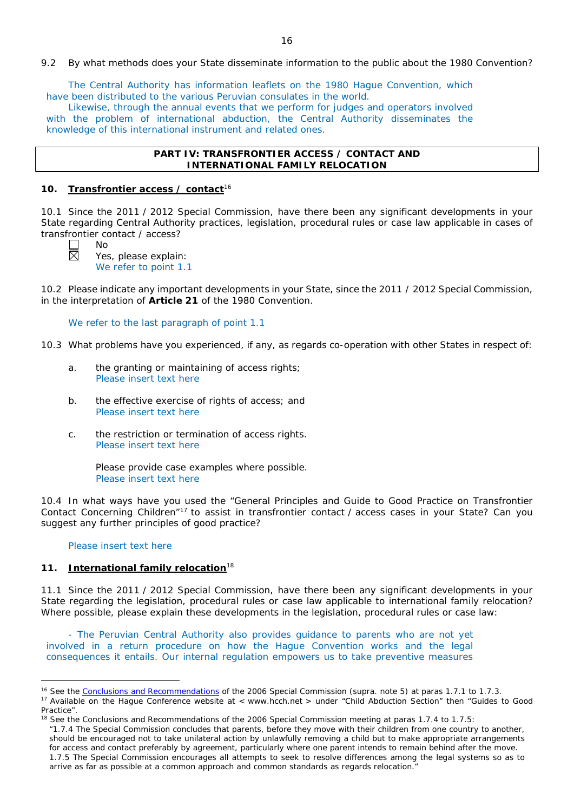9.2 By what methods does your State disseminate information to the public about the 1980 Convention?

The Central Authority has information leaflets on the 1980 Hague Convention, which have been distributed to the various Peruvian consulates in the world.

Likewise, through the annual events that we perform for judges and operators involved with the problem of international abduction, the Central Authority disseminates the knowledge of this international instrument and related ones.

## **PART IV: TRANSFRONTIER ACCESS / CONTACT AND INTERNATIONAL FAMILY RELOCATION**

### **10. Transfrontier access / contact**<sup>16</sup>

10.1 Since the 2011 / 2012 Special Commission, have there been any significant developments in your State regarding Central Authority practices, legislation, procedural rules or case law applicable in cases of transfrontier contact / access?

No

Yes, please explain: We refer to point 1.1

10.2 Please indicate any important developments in your State, since the 2011 / 2012 Special Commission, in the interpretation of **Article 21** of the 1980 Convention.

We refer to the last paragraph of point 1.1

10.3 What problems have you experienced, if any, as regards co-operation with other States in respect of:

- a. the granting or maintaining of access rights; Please insert text here
- b. the effective exercise of rights of access; and Please insert text here
- c. the restriction or termination of access rights. Please insert text here

Please provide case examples where possible. Please insert text here

10.4 In what ways have you used the "General Principles and Guide to Good Practice on Transfrontier Contact Concerning Children"17 to assist in transfrontier contact / access cases in your State? Can you suggest any further principles of good practice?

#### Please insert text here

 $\overline{a}$ 

## **11. International family relocation**<sup>18</sup>

11.1 Since the 2011 / 2012 Special Commission, have there been any significant developments in your State regarding the legislation, procedural rules or case law applicable to international family relocation? Where possible, please explain these developments in the legislation, procedural rules or case law:

- The Peruvian Central Authority also provides guidance to parents who are not yet involved in a return procedure on how the Hague Convention works and the legal consequences it entails. Our internal regulation empowers us to take preventive measures

*"*1.7.4 The Special Commission concludes that parents, before they move with their children from one country to another, should be encouraged not to take unilateral action by unlawfully removing a child but to make appropriate arrangements for access and contact preferably by agreement, particularly where one parent intends to remain behind after the move. 1.7.5 The Special Commission encourages all attempts to seek to resolve differences among the legal systems so as to arrive as far as possible at a common approach and common standards as regards relocation."

<sup>&</sup>lt;sup>16</sup> See the [Conclusions and Recommendations](https://assets.hcch.net/upload/concl28sc5_e.pdf)</u> of the 2006 Special Commission (*supra.* note 5) at paras 1.7.1 to 1.7.3.

<sup>&</sup>lt;sup>17</sup> Available on the Haque Conference website at < www.hcch.net > under "Child Abduction Section" then "Guides to Good Practice".

 $18$  See the Conclusions and Recommendations of the 2006 Special Commission meeting at paras 1.7.4 to 1.7.5: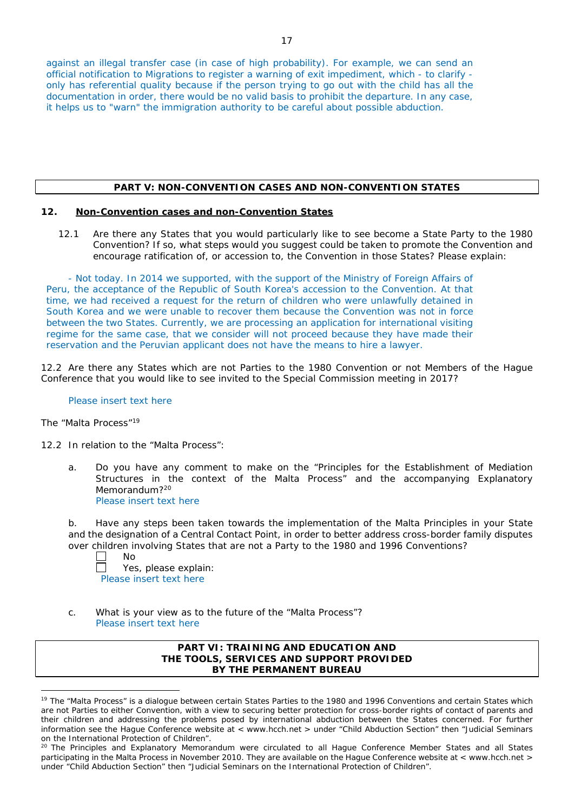against an illegal transfer case (in case of high probability). For example, we can send an official notification to Migrations to register a warning of exit impediment, which - to clarify only has referential quality because if the person trying to go out with the child has all the documentation in order, there would be no valid basis to prohibit the departure. In any case, it helps us to "warn" the immigration authority to be careful about possible abduction.

### **PART V: NON-CONVENTION CASES AND NON-CONVENTION STATES**

## **12. Non-Convention cases and non-Convention States**

12.1 Are there any States that you would particularly like to see become a State Party to the 1980 Convention? If so, what steps would you suggest could be taken to promote the Convention and encourage ratification of, or accession to, the Convention in those States? Please explain:

- Not today. In 2014 we supported, with the support of the Ministry of Foreign Affairs of Peru, the acceptance of the Republic of South Korea's accession to the Convention. At that time, we had received a request for the return of children who were unlawfully detained in South Korea and we were unable to recover them because the Convention was not in force between the two States. Currently, we are processing an application for international visiting regime for the same case, that we consider will not proceed because they have made their reservation and the Peruvian applicant does not have the means to hire a lawyer.

12.2 Are there any States which are not Parties to the 1980 Convention or not Members of the Hague Conference that you would like to see invited to the Special Commission meeting in 2017?

#### Please insert text here

### *The "Malta Process"*<sup>19</sup>

12.2 In relation to the "Malta Process":

a. Do you have any comment to make on the "Principles for the Establishment of Mediation Structures in the context of the Malta Process" and the accompanying Explanatory Memorandum?<sup>20</sup> Please insert text here

b. Have any steps been taken towards the implementation of the Malta Principles in your State and the designation of a Central Contact Point, in order to better address cross-border family disputes over children involving States that are not a Party to the 1980 and 1996 Conventions?

 $\Box$ 

 $\overline{a}$ 

No

Yes, please explain: Please insert text here

c. What is your view as to the future of the "Malta Process"? Please insert text here

### **PART VI: TRAINING AND EDUCATION AND THE TOOLS, SERVICES AND SUPPORT PROVIDED BY THE PERMANENT BUREAU**

<sup>&</sup>lt;sup>19</sup> The "Malta Process" is a dialogue between certain States Parties to the 1980 and 1996 Conventions and certain States which are not Parties to either Convention, with a view to securing better protection for cross-border rights of contact of parents and their children and addressing the problems posed by international abduction between the States concerned. For further information see the Hague Conference website at < www.hcch.net > under "Child Abduction Section" then "Judicial Seminars on the International Protection of Children".

<sup>&</sup>lt;sup>20</sup> The Principles and Explanatory Memorandum were circulated to all Hague Conference Member States and all States participating in the Malta Process in November 2010. They are available on the Hague Conference website at < www.hcch.net > under "Child Abduction Section" then "Judicial Seminars on the International Protection of Children".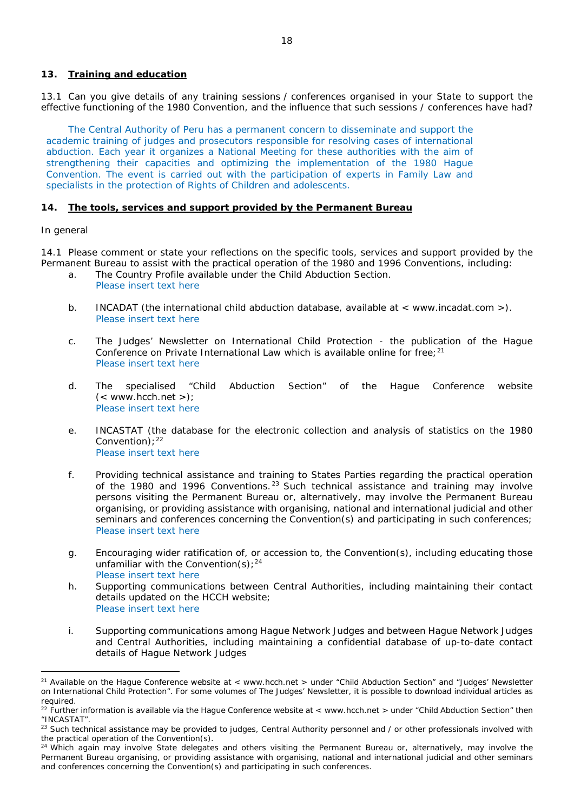## **13. Training and education**

13.1 Can you give details of any training sessions / conferences organised in your State to support the effective functioning of the 1980 Convention, and the influence that such sessions / conferences have had?

The Central Authority of Peru has a permanent concern to disseminate and support the academic training of judges and prosecutors responsible for resolving cases of international abduction. Each year it organizes a National Meeting for these authorities with the aim of strengthening their capacities and optimizing the implementation of the 1980 Hague Convention. The event is carried out with the participation of experts in Family Law and specialists in the protection of Rights of Children and adolescents.

## **14. The tools, services and support provided by the Permanent Bureau**

## *In general*

 $\overline{a}$ 

14.1 Please comment or state your reflections on the specific tools, services and support provided by the Permanent Bureau to assist with the practical operation of the 1980 and 1996 Conventions, including:

- a. The Country Profile available under the Child Abduction Section. Please insert text here
- b. INCADAT (the international child abduction database, available at < www.incadat.com >). Please insert text here
- c. *The Judges' Newsletter* on International Child Protection the publication of the Hague Conference on Private International Law which is available online for free;<sup>21</sup> Please insert text here
- d. The specialised "Child Abduction Section" of the Hague Conference website  $(<$  www.hcch.net >); Please insert text here
- e. INCASTAT (the database for the electronic collection and analysis of statistics on the 1980  $Convention):^{22}$ Please insert text here
- f. Providing technical assistance and training to States Parties regarding the practical operation of the 1980 and 1996 Conventions.<sup>23</sup> Such technical assistance and training may involve persons visiting the Permanent Bureau or, alternatively, may involve the Permanent Bureau organising, or providing assistance with organising, national and international judicial and other seminars and conferences concerning the Convention(s) and participating in such conferences; Please insert text here
- g. Encouraging wider ratification of, or accession to, the Convention(s), including educating those unfamiliar with the Convention(s);  $24$ Please insert text here
- h. Supporting communications between Central Authorities, including maintaining their contact details updated on the HCCH website; Please insert text here
- i. Supporting communications among Hague Network Judges and between Hague Network Judges and Central Authorities, including maintaining a confidential database of up-to-date contact details of Hague Network Judges

<sup>&</sup>lt;sup>21</sup> Available on the Hague Conference website at < www.hcch.net > under "Child Abduction Section" and "Judges' Newsletter on International Child Protection". For some volumes of *The Judges' Newsletter*, it is possible to download individual articles as required.

 $22$  Further information is available via the Hague Conference website at < www.hcch.net > under "Child Abduction Section" then "INCASTAT".

<sup>&</sup>lt;sup>23</sup> Such technical assistance may be provided to judges, Central Authority personnel and / or other professionals involved with the practical operation of the Convention(s).

 $24$  Which again may involve State delegates and others visiting the Permanent Bureau or, alternatively, may involve the Permanent Bureau organising, or providing assistance with organising, national and international judicial and other seminars and conferences concerning the Convention(s) and participating in such conferences.